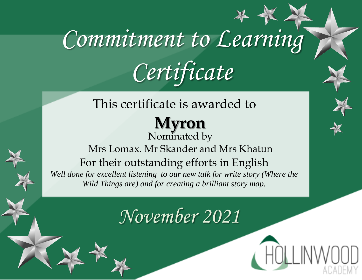#### This certificate is awarded to

#### **Myron** Nominated by

Mrs Lomax. Mr Skander and Mrs Khatun For their outstanding efforts in English *Well done for excellent listening to our new talk for write story (Where the Wild Things are) and for creating a brilliant story map.*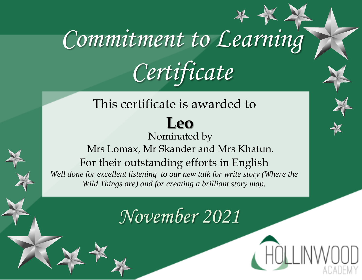#### This certificate is awarded to **Leo** Nominated by Mrs Lomax, Mr Skander and Mrs Khatun. For their outstanding efforts in English *Well done for excellent listening to our new talk for write story (Where the Wild Things are) and for creating a brilliant story map.*

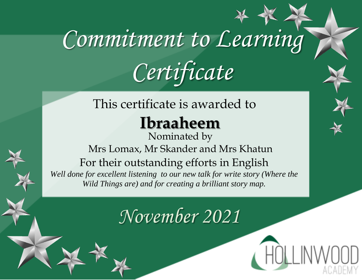### This certificate is awarded to

### **Ibraaheem**

Nominated by Mrs Lomax, Mr Skander and Mrs Khatun For their outstanding efforts in English Well done for excellent listening to our new talk for write story (Where the *Wild Things are) and for creating a brilliant story map.*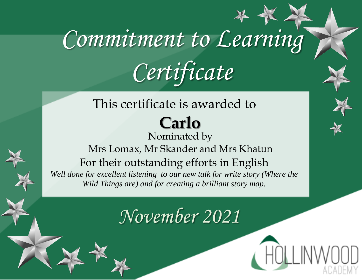#### This certificate is awarded to **Carlo**

Nominated by Mrs Lomax, Mr Skander and Mrs Khatun For their outstanding efforts in English *Well done for excellent listening to our new talk for write story (Where the Wild Things are) and for creating a brilliant story map.*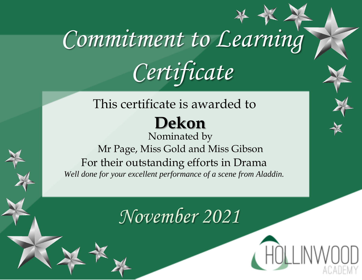### This certificate is awarded to **Dekon**

Nominated by Mr Page, Miss Gold and Miss Gibson For their outstanding efforts in Drama *Well done for your excellent performance of a scene from Aladdin.*

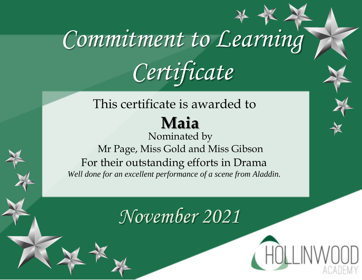#### This certificate is awarded to **Maia**

Nominated by Mr Page, Miss Gold and Miss Gibson For their outstanding efforts in Drama *Well done for an excellent performance of a scene from Aladdin.*

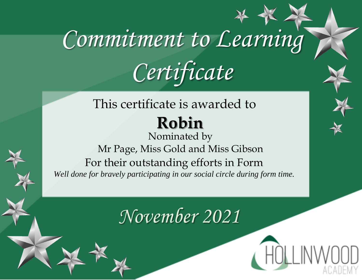### This certificate is awarded to **Robin**

Nominated by Mr Page, Miss Gold and Miss Gibson For their outstanding efforts in Form *Well done for bravely participating in our social circle during form time.*

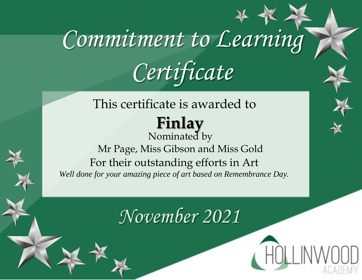### This certificate is awarded to **Finlay**

Nominated by Mr Page, Miss Gibson and Miss Gold For their outstanding efforts in Art *Well done for your amazing piece of art based on Remembrance Day.*

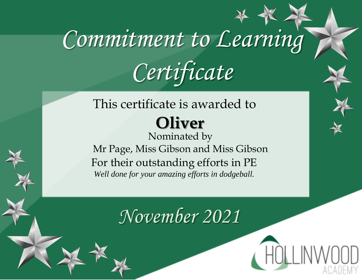### This certificate is awarded to **Oliver**

Nominated by Mr Page, Miss Gibson and Miss Gibson For their outstanding efforts in PE *Well done for your amazing efforts in dodgeball.*

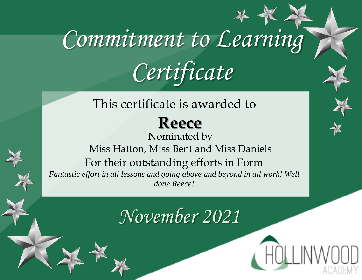This certificate is awarded to

### **Reece**

Nominated by Miss Hatton, Miss Bent and Miss Daniels For their outstanding efforts in Form *Fantastic effort in all lessons and going above and beyond in all work! Well done Reece!*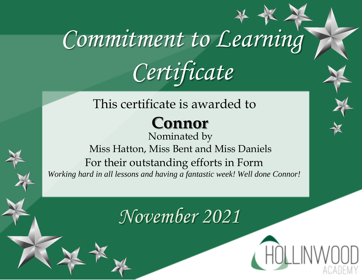#### This certificate is awarded to

### **Connor**

Nominated by Miss Hatton, Miss Bent and Miss Daniels For their outstanding efforts in Form *Working hard in all lessons and having a fantastic week! Well done Connor!*